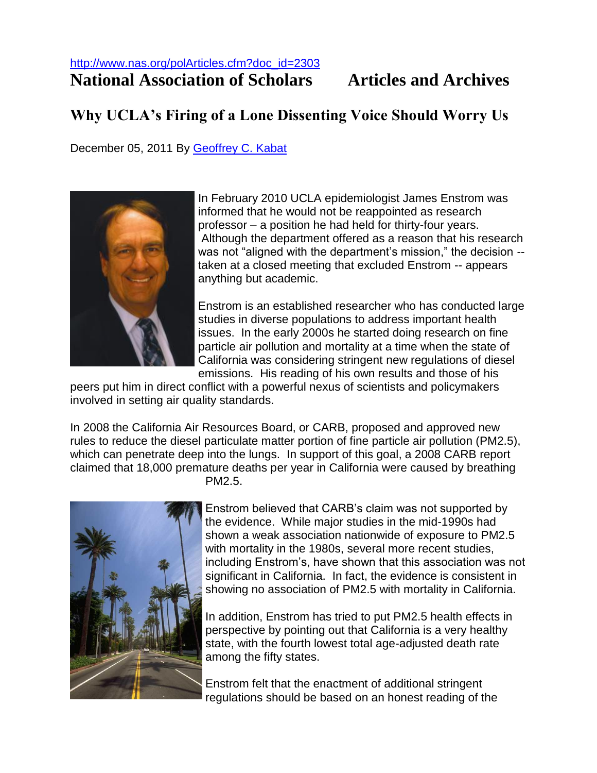## **National Association of Scholars Articles and Archives**

## **Why UCLA's Firing of a Lone Dissenting Voice Should Worry Us**

December 05, 2011 By [Geoffrey C. Kabat](http://www.nas.org/polArticles.cfm?Author_Desc=Geoffrey%20C.%20Kabat)



In February 2010 UCLA epidemiologist James Enstrom was informed that he would not be reappointed as research professor – a position he had held for thirty-four years. Although the department offered as a reason that his research was not "aligned with the department's mission," the decision - taken at a closed meeting that excluded Enstrom -- appears anything but academic.

Enstrom is an established researcher who has conducted large studies in diverse populations to address important health issues. In the early 2000s he started doing research on fine particle air pollution and mortality at a time when the state of California was considering stringent new regulations of diesel emissions. His reading of his own results and those of his

peers put him in direct conflict with a powerful nexus of scientists and policymakers involved in setting air quality standards.

In 2008 the California Air Resources Board, or CARB, proposed and approved new rules to reduce the diesel particulate matter portion of fine particle air pollution (PM2.5), which can penetrate deep into the lungs. In support of this goal, a 2008 CARB report claimed that 18,000 premature deaths per year in California were caused by breathing PM2.5.



Enstrom believed that CARB's claim was not supported by the evidence. While major studies in the mid-1990s had shown a weak association nationwide of exposure to PM2.5 with mortality in the 1980s, several more recent studies, including Enstrom's, have shown that this association was not significant in California. In fact, the evidence is consistent in showing no association of PM2.5 with mortality in California.

In addition, Enstrom has tried to put PM2.5 health effects in perspective by pointing out that California is a very healthy state, with the fourth lowest total age-adjusted death rate among the fifty states.

Enstrom felt that the enactment of additional stringent regulations should be based on an honest reading of the